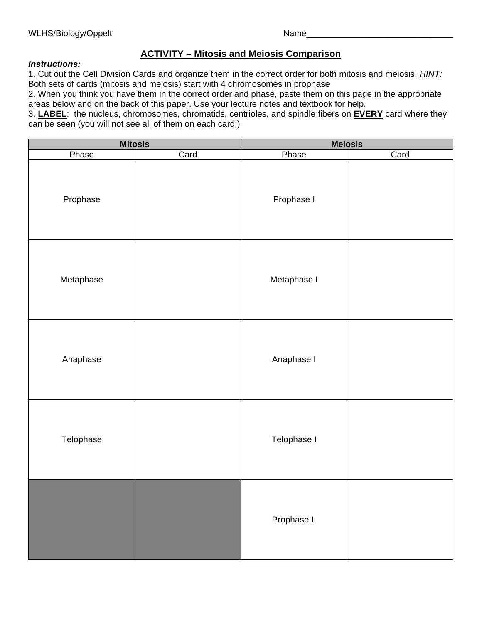## **ACTIVITY – Mitosis and Meiosis Comparison**

## *Instructions:*

1. Cut out the Cell Division Cards and organize them in the correct order for both mitosis and meiosis. *HINT:* Both sets of cards (mitosis and meiosis) start with 4 chromosomes in prophase

2. When you think you have them in the correct order and phase, paste them on this page in the appropriate areas below and on the back of this paper. Use your lecture notes and textbook for help.

3. **LABEL**: the nucleus, chromosomes, chromatids, centrioles, and spindle fibers on **EVERY** card where they can be seen (you will not see all of them on each card.)

| <b>Mitosis</b> |      | <b>Meiosis</b> |      |
|----------------|------|----------------|------|
| Phase          | Card | Phase          | Card |
| Prophase       |      | Prophase I     |      |
| Metaphase      |      | Metaphase I    |      |
| Anaphase       |      | Anaphase I     |      |
| Telophase      |      | Telophase I    |      |
|                |      | Prophase II    |      |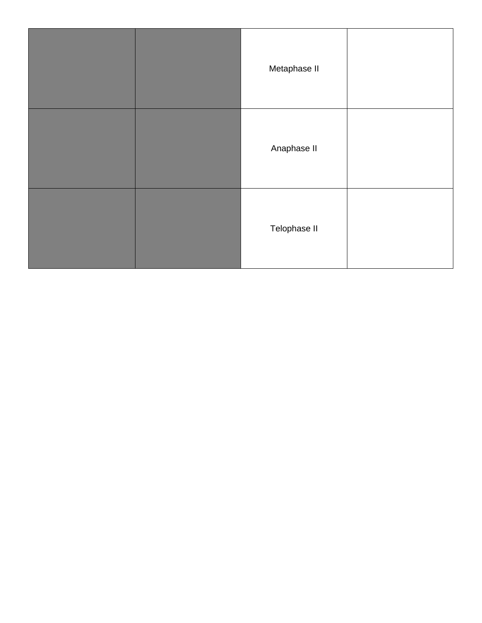|  | Metaphase II |  |
|--|--------------|--|
|  | Anaphase II  |  |
|  | Telophase II |  |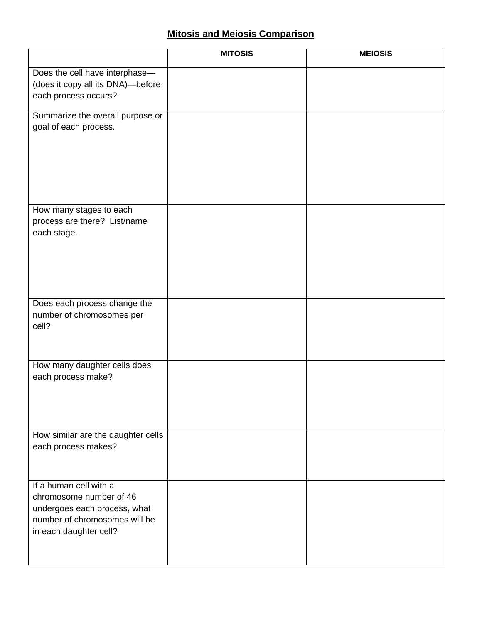## **Mitosis and Meiosis Comparison**

|                                                                                                                                              | <b>MITOSIS</b> | <b>MEIOSIS</b> |
|----------------------------------------------------------------------------------------------------------------------------------------------|----------------|----------------|
| Does the cell have interphase-<br>(does it copy all its DNA)-before<br>each process occurs?                                                  |                |                |
| Summarize the overall purpose or<br>goal of each process.                                                                                    |                |                |
| How many stages to each<br>process are there? List/name<br>each stage.                                                                       |                |                |
| Does each process change the<br>number of chromosomes per<br>cell?                                                                           |                |                |
| How many daughter cells does<br>each process make?                                                                                           |                |                |
| How similar are the daughter cells<br>each process makes?                                                                                    |                |                |
| If a human cell with a<br>chromosome number of 46<br>undergoes each process, what<br>number of chromosomes will be<br>in each daughter cell? |                |                |